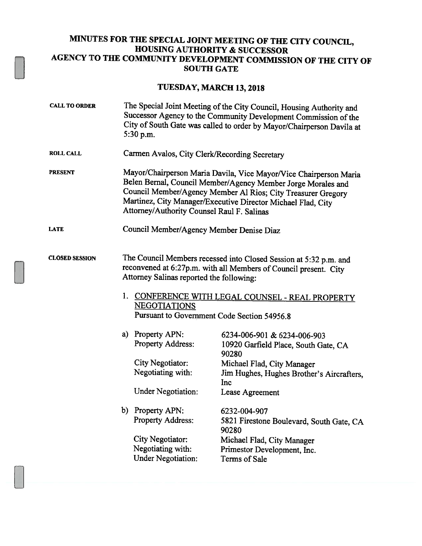## MINUTES FOR THE SPECIAL JOINT MEETING OF THE CITY COUNCIL, HOUSING AUTHORITY & SUCCESSOR AGENCY TO THE COMMUNITY DEVELOPMENT COMMISSION OF THE CITY OF SOUTH GATE

## TUESDAY, MARCH 13,2018

| <b>CALL TO ORDER</b>  | The Special Joint Meeting of the City Council, Housing Authority and<br>Successor Agency to the Community Development Commission of the<br>City of South Gate was called to order by Mayor/Chairperson Davila at<br>$5:30$ p.m.                                                                                 |                                                                                                                                                                                                                                                                                                                     |
|-----------------------|-----------------------------------------------------------------------------------------------------------------------------------------------------------------------------------------------------------------------------------------------------------------------------------------------------------------|---------------------------------------------------------------------------------------------------------------------------------------------------------------------------------------------------------------------------------------------------------------------------------------------------------------------|
| <b>ROLL CALL</b>      | Carmen Avalos, City Clerk/Recording Secretary                                                                                                                                                                                                                                                                   |                                                                                                                                                                                                                                                                                                                     |
| <b>PRESENT</b>        | Mayor/Chairperson Maria Davila, Vice Mayor/Vice Chairperson Maria<br>Belen Bernal, Council Member/Agency Member Jorge Morales and<br>Council Member/Agency Member Al Rios; City Treasurer Gregory<br>Martinez, City Manager/Executive Director Michael Flad, City<br>Attorney/Authority Counsel Raul F. Salinas |                                                                                                                                                                                                                                                                                                                     |
| <b>LATE</b>           | Council Member/Agency Member Denise Diaz                                                                                                                                                                                                                                                                        |                                                                                                                                                                                                                                                                                                                     |
| <b>CLOSED SESSION</b> | The Council Members recessed into Closed Session at 5:32 p.m. and<br>reconvened at 6:27p.m. with all Members of Council present. City<br>Attorney Salinas reported the following:<br>1. CONFERENCE WITH LEGAL COUNSEL - REAL PROPERTY<br><b>NEGOTIATIONS</b><br>Pursuant to Government Code Section 54956.8     |                                                                                                                                                                                                                                                                                                                     |
|                       | a) Property APN:<br><b>Property Address:</b><br><b>City Negotiator:</b><br>Negotiating with:<br><b>Under Negotiation:</b><br>b) Property APN:<br><b>Property Address:</b><br><b>City Negotiator:</b><br>Negotiating with:                                                                                       | 6234-006-901 & 6234-006-903<br>10920 Garfield Place, South Gate, CA<br>90280<br>Michael Flad, City Manager<br>Jim Hughes, Hughes Brother's Aircrafters,<br>Inc<br>Lease Agreement<br>6232-004-907<br>5821 Firestone Boulevard, South Gate, CA<br>90280<br>Michael Flad, City Manager<br>Primestor Development, Inc. |
|                       | <b>Under Negotiation:</b>                                                                                                                                                                                                                                                                                       | Terms of Sale                                                                                                                                                                                                                                                                                                       |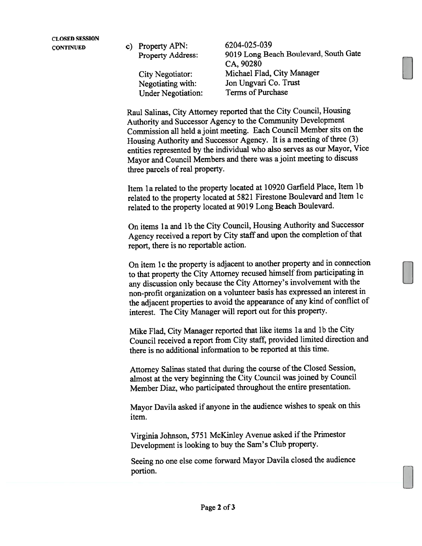CONTINUED c) Property APN: 6204-025-039 Under Negotiation:

Property Address: <sup>9019</sup> Long Beach Boulevard, South Gate CA, 90280 City Negotiator: Michael Flad, City Manager Negotiating with: Jon Ungvari Co. Trust<br>
Hoter Negotiation: Terms of Purchase

Raul Salinas, City Attorney reported that the City Council, Housing Authority and Successor Agency to the Community Development Commission all held <sup>a</sup> joint meeting. Each Council Member sits on the Housing Authority and Successor Agency. It is a meeting of three (3) entities represented by the individual who also serves as our Mayor, Vice Mayor and Council Members and there was <sup>a</sup> joint meeting to discuss three parcels of real property.

Item la related to the property located at <sup>10920</sup> Garfield Place, Item lb related to the property located at <sup>5821</sup> Firestone Boulevard and Item Ic related to the property located at <sup>9019</sup> Long Beach Boulevard.

On items la and lb the City Council, Housing Authority and Successor Agency received a report by City staff and upon the completion of that report, there is no reportable action.

On item ic the property is adjacent to another property and in connection to that property the City Attorney recused himself from participating in any discussion only because the City Attorney's involvement with the non-profit organization on <sup>a</sup> volunteer basis has expresse<sup>d</sup> an interest in the adjacent properties to avoid the appearance of any kind of conflict of interest. The City Manager will repor<sup>t</sup> out for this property.

Mike Flad, City Manager reported that like items 1a and 1b the City Council received a report from City staff, provided limited direction and there is no additional information to be reported at this time.

Attorney Salinas stated that during the course of the Closed Session, almost at the very beginning the City Council was joined by Council Member Diaz, who participated throughout the entire presentation.

Mayor Davila asked if anyone in the audience wishes to spea<sup>k</sup> on this item.

Virginia Johnson, 5751 McKinley Avenue asked if the Primestor Development is looking to buy the Sam's Club property.

Seeing no one else come forward Mayor Davila closed the audience portion.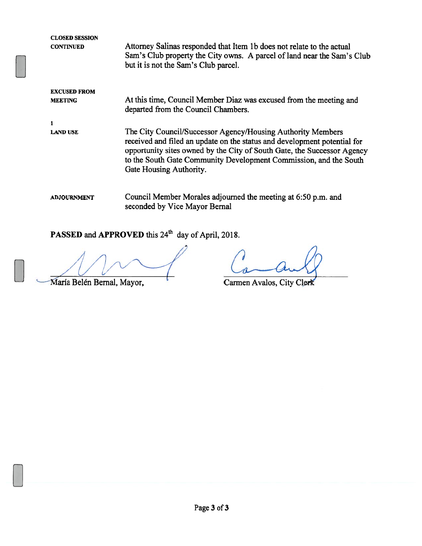CLOSED SESSION **CONTINUED** EXCUSED FROM MEETING 1 LAND USE ADJOURNMENT Attorney Salinas responded that Item lb does not relate to the actual Sam's Club property the City owns. A parcel of land near the Sam's Club but it is not the Sam's Club parcel. At this time, Council Member Diaz was excused from the meeting and departed from the Council Chambers. The City Council/Successor Agency/Housing Authority Members received and filed an update on the status and development potential for opportunity sites owned by the City of South Gate, the Successor Agency to the South Gate Community Development Commission, and the South Gate Housing Authority. Council Member Morales adjourned the meeting at 6:50 p.m. and seconded by Vice Mayor Bernal

## PASSED and APPROVED this 24<sup>th</sup> day of April, 2018.

María Belén Bernal, Mayor, Carmen Avalos, City Clerk